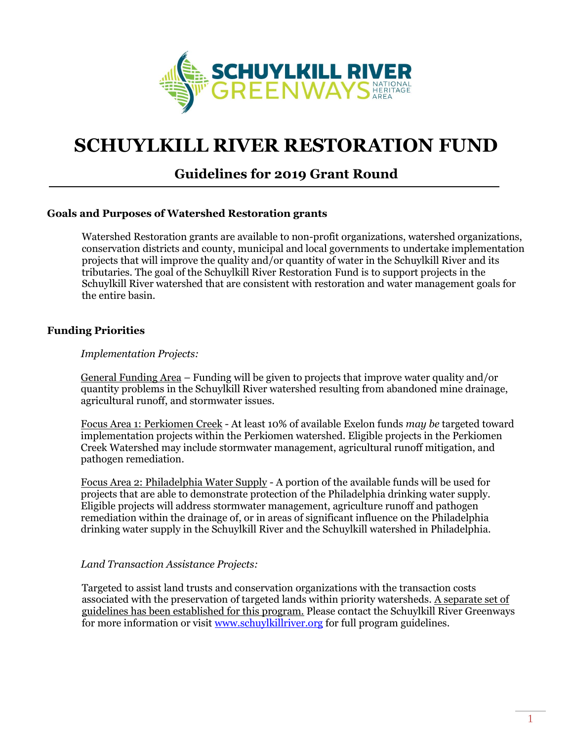

# **SCHUYLKILL RIVER RESTORATION FUND**

# **Guidelines for 2019 Grant Round**

#### **Goals and Purposes of Watershed Restoration grants**

Watershed Restoration grants are available to non-profit organizations, watershed organizations, conservation districts and county, municipal and local governments to undertake implementation projects that will improve the quality and/or quantity of water in the Schuylkill River and its tributaries. The goal of the Schuylkill River Restoration Fund is to support projects in the Schuylkill River watershed that are consistent with restoration and water management goals for the entire basin.

#### **Funding Priorities**

#### *Implementation Projects:*

General Funding Area – Funding will be given to projects that improve water quality and/or quantity problems in the Schuylkill River watershed resulting from abandoned mine drainage, agricultural runoff, and stormwater issues.

Focus Area 1: Perkiomen Creek - At least 10% of available Exelon funds *may be* targeted toward implementation projects within the Perkiomen watershed. Eligible projects in the Perkiomen Creek Watershed may include stormwater management, agricultural runoff mitigation, and pathogen remediation.

Focus Area 2: Philadelphia Water Supply - A portion of the available funds will be used for projects that are able to demonstrate protection of the Philadelphia drinking water supply. Eligible projects will address stormwater management, agriculture runoff and pathogen remediation within the drainage of, or in areas of significant influence on the Philadelphia drinking water supply in the Schuylkill River and the Schuylkill watershed in Philadelphia.

#### *Land Transaction Assistance Projects:*

Targeted to assist land trusts and conservation organizations with the transaction costs associated with the preservation of targeted lands within priority watersheds. A separate set of guidelines has been established for this program. Please contact the Schuylkill River Greenways for more information or visit [www.schuylkillriver.org](http://www.schuylkillriver.org/) for full program guidelines.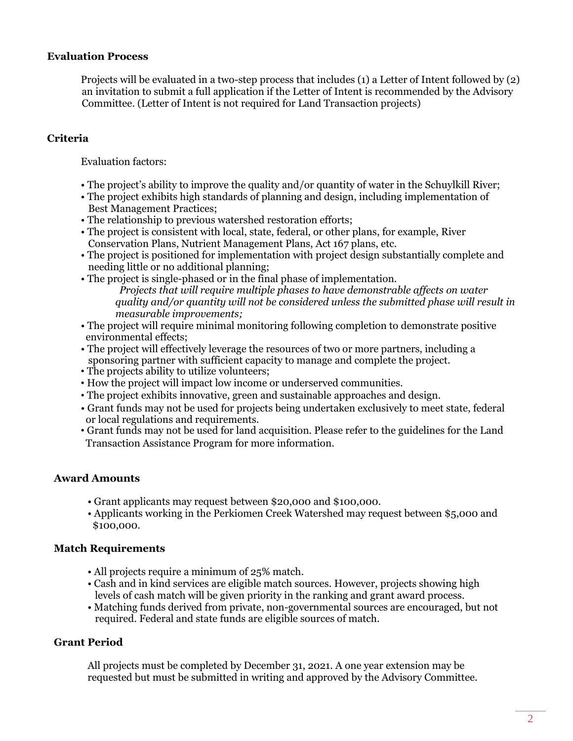#### **Evaluation Process**

Projects will be evaluated in a two-step process that includes (1) a Letter of Intent followed by (2) an invitation to submit a full application if the Letter of Intent is recommended by the Advisory Committee. (Letter of Intent is not required for Land Transaction projects)

# **Criteria**

Evaluation factors:

- The project's ability to improve the quality and/or quantity of water in the Schuylkill River;
- The project exhibits high standards of planning and design, including implementation of Best Management Practices;
- The relationship to previous watershed restoration efforts;
- The project is consistent with local, state, federal, or other plans, for example, River Conservation Plans, Nutrient Management Plans, Act 167 plans, etc.
- The project is positioned for implementation with project design substantially complete and needing little or no additional planning;
- The project is single-phased or in the final phase of implementation. *Projects that will require multiple phases to have demonstrable affects on water quality and/or quantity will not be considered unless the submitted phase will result in measurable improvements;*
- The project will require minimal monitoring following completion to demonstrate positive environmental effects;
- The project will effectively leverage the resources of two or more partners, including a sponsoring partner with sufficient capacity to manage and complete the project.
- The projects ability to utilize volunteers;
- How the project will impact low income or underserved communities.
- The project exhibits innovative, green and sustainable approaches and design.
- Grant funds may not be used for projects being undertaken exclusively to meet state, federal or local regulations and requirements.
- Grant funds may not be used for land acquisition. Please refer to the guidelines for the Land Transaction Assistance Program for more information.

# **Award Amounts**

- Grant applicants may request between \$20,000 and \$100,000.
- Applicants working in the Perkiomen Creek Watershed may request between \$5,000 and \$100,000.

# **Match Requirements**

- All projects require a minimum of 25% match.
- Cash and in kind services are eligible match sources. However, projects showing high levels of cash match will be given priority in the ranking and grant award process.
- Matching funds derived from private, non-governmental sources are encouraged, but not required. Federal and state funds are eligible sources of match.

# **Grant Period**

All projects must be completed by December 31, 2021. A one year extension may be requested but must be submitted in writing and approved by the Advisory Committee.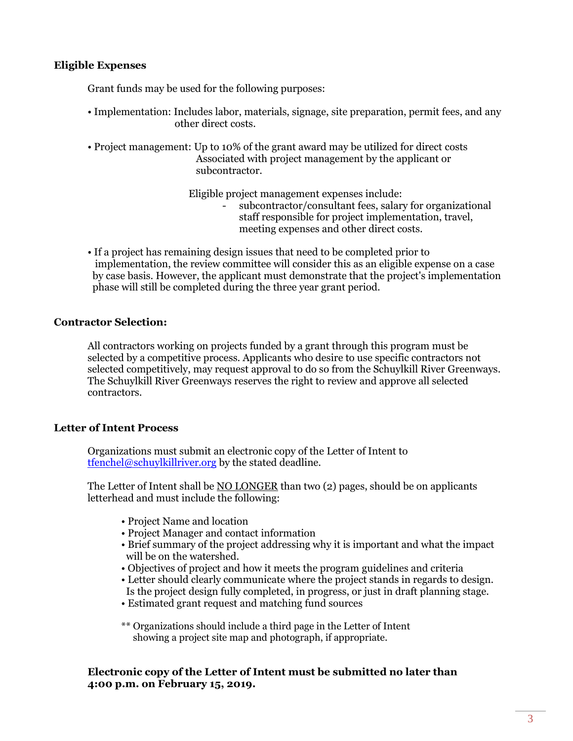#### **Eligible Expenses**

Grant funds may be used for the following purposes:

- Implementation: Includes labor, materials, signage, site preparation, permit fees, and any other direct costs.
- Project management: Up to 10% of the grant award may be utilized for direct costs Associated with project management by the applicant or subcontractor.

Eligible project management expenses include:

- subcontractor/consultant fees, salary for organizational staff responsible for project implementation, travel, meeting expenses and other direct costs.
- If a project has remaining design issues that need to be completed prior to implementation, the review committee will consider this as an eligible expense on a case by case basis. However, the applicant must demonstrate that the project's implementation phase will still be completed during the three year grant period.

#### **Contractor Selection:**

All contractors working on projects funded by a grant through this program must be selected by a competitive process. Applicants who desire to use specific contractors not selected competitively, may request approval to do so from the Schuylkill River Greenways. The Schuylkill River Greenways reserves the right to review and approve all selected contractors.

# **Letter of Intent Process**

Organizations must submit an electronic copy of the Letter of Intent to [tfenchel@schuylkillriver.org](mailto:tfenchel@schuylkillriver.org) by the stated deadline.

The Letter of Intent shall be NO LONGER than two (2) pages, should be on applicants letterhead and must include the following:

- Project Name and location
- Project Manager and contact information
- Brief summary of the project addressing why it is important and what the impact will be on the watershed.
- Objectives of project and how it meets the program guidelines and criteria
- Letter should clearly communicate where the project stands in regards to design. Is the project design fully completed, in progress, or just in draft planning stage.
- Estimated grant request and matching fund sources

\*\* Organizations should include a third page in the Letter of Intent showing a project site map and photograph, if appropriate.

**Electronic copy of the Letter of Intent must be submitted no later than 4:00 p.m. on February 15, 2019.**